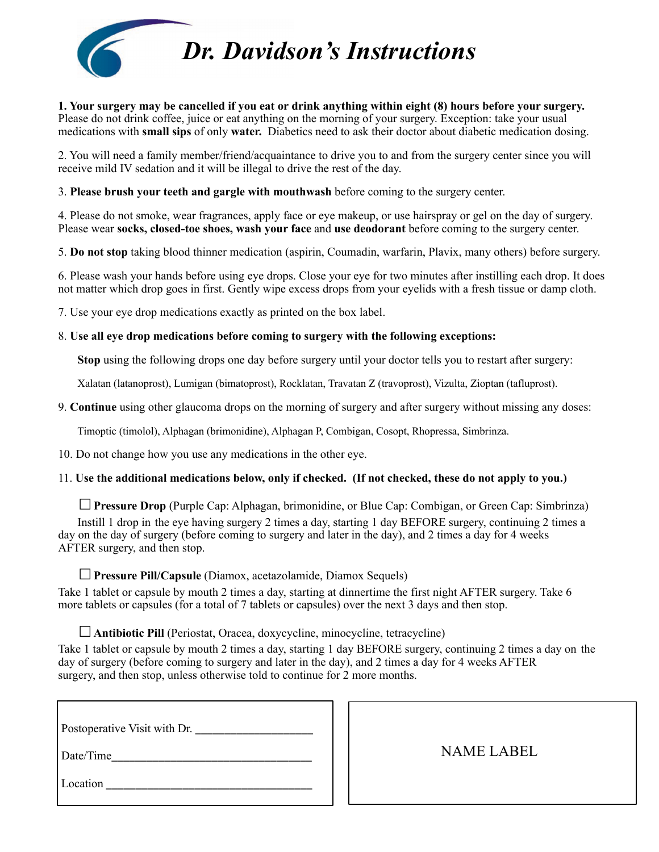

*Dr. Davidson's Instructions*

**1. Your surgery may be cancelled if you eat or drink anything within eight (8) hours before your surgery.**  Please do not drink coffee, juice or eat anything on the morning of your surgery. Exception: take your usual medications with **small sips** of only **water.** Diabetics need to ask their doctor about diabetic medication dosing.

2. You will need a family member/friend/acquaintance to drive you to and from the surgery center since you will receive mild IV sedation and it will be illegal to drive the rest of the day.

3. **Please brush your teeth and gargle with mouthwash** before coming to the surgery center.

4. Please do not smoke, wear fragrances, apply face or eye makeup, or use hairspray or gel on the day of surgery. Please wear **socks, closed-toe shoes, wash your face** and **use deodorant** before coming to the surgery center.

5. **Do not stop** taking blood thinner medication (aspirin, Coumadin, warfarin, Plavix, many others) before surgery.

6. Please wash your hands before using eye drops. Close your eye for two minutes after instilling each drop. It does not matter which drop goes in first. Gently wipe excess drops from your eyelids with a fresh tissue or damp cloth.

7. Use your eye drop medications exactly as printed on the box label.

#### 8. **Use all eye drop medications before coming to surgery with the following exceptions:**

 **Stop** using the following drops one day before surgery until your doctor tells you to restart after surgery:

Xalatan (latanoprost), Lumigan (bimatoprost), Rocklatan, Travatan Z (travoprost), Vizulta, Zioptan (tafluprost).

9. **Continue** using other glaucoma drops on the morning of surgery and after surgery without missing any doses:

Timoptic (timolol), Alphagan (brimonidine), Alphagan P, Combigan, Cosopt, Rhopressa, Simbrinza.

10. Do not change how you use any medications in the other eye.

### 11. **Use the additional medications below, only if checked. (If not checked, these do not apply to you.)**

☐**Pressure Drop** (Purple Cap: Alphagan, brimonidine, or Blue Cap: Combigan, or Green Cap: Simbrinza) Instill 1 drop in the eye having surgery 2 times a day, starting 1 day BEFORE surgery, continuing 2 times a day on the day of surgery (before coming to surgery and later in the day), and 2 times a day for 4 weeks AFTER surgery, and then stop.

## ☐**Pressure Pill/Capsule** (Diamox, acetazolamide, Diamox Sequels)

Take 1 tablet or capsule by mouth 2 times a day, starting at dinnertime the first night AFTER surgery. Take 6 more tablets or capsules (for a total of 7 tablets or capsules) over the next 3 days and then stop.

☐**Antibiotic Pill** (Periostat, Oracea, doxycycline, minocycline, tetracycline)

Take 1 tablet or capsule by mouth 2 times a day, starting 1 day BEFORE surgery, continuing 2 times a day on the day of surgery (before coming to surgery and later in the day), and 2 times a day for 4 weeks AFTER surgery, and then stop, unless otherwise told to continue for 2 more months.

| Postoperative Visit with Dr. |  |
|------------------------------|--|
| Date/Time                    |  |

 NAME LABEL

Location